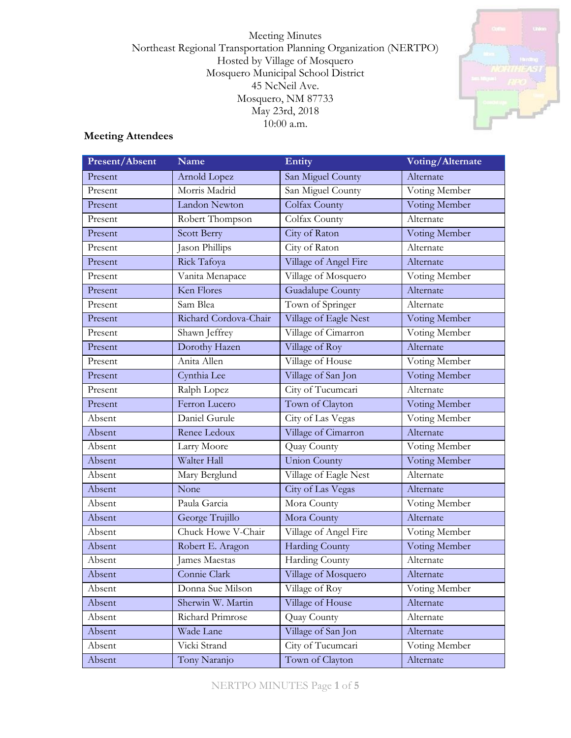Meeting Minutes Northeast Regional Transportation Planning Organization (NERTPO) Hosted by Village of Mosquero Mosquero Municipal School District 45 NcNeil Ave. Mosquero, NM 87733 May 23rd, 2018 10:00 a.m.



# **Meeting Attendees**

| <b>Present/Absent</b> | <b>Name</b>           | Entity                  | Voting/Alternate |
|-----------------------|-----------------------|-------------------------|------------------|
| Present               | Arnold Lopez          | San Miguel County       | Alternate        |
| Present               | Morris Madrid         | San Miguel County       | Voting Member    |
| Present               | Landon Newton         | Colfax County           | Voting Member    |
| Present               | Robert Thompson       | Colfax County           | Alternate        |
| Present               | <b>Scott Berry</b>    | City of Raton           | Voting Member    |
| Present               | Jason Phillips        | City of Raton           | Alternate        |
| Present               | Rick Tafoya           | Village of Angel Fire   | Alternate        |
| Present               | Vanita Menapace       | Village of Mosquero     | Voting Member    |
| Present               | Ken Flores            | <b>Guadalupe County</b> | Alternate        |
| Present               | Sam Blea              | Town of Springer        | Alternate        |
| Present               | Richard Cordova-Chair | Village of Eagle Nest   | Voting Member    |
| Present               | Shawn Jeffrey         | Village of Cimarron     | Voting Member    |
| Present               | Dorothy Hazen         | Village of Roy          | Alternate        |
| Present               | Anita Allen           | Village of House        | Voting Member    |
| Present               | Cynthia Lee           | Village of San Jon      | Voting Member    |
| Present               | Ralph Lopez           | City of Tucumcari       | Alternate        |
| Present               | Ferron Lucero         | Town of Clayton         | Voting Member    |
| Absent                | Daniel Gurule         | City of Las Vegas       | Voting Member    |
| Absent                | Renee Ledoux          | Village of Cimarron     | Alternate        |
| Absent                | Larry Moore           | Quay County             | Voting Member    |
| Absent                | Walter Hall           | <b>Union County</b>     | Voting Member    |
| Absent                | Mary Berglund         | Village of Eagle Nest   | Alternate        |
| Absent                | None                  | City of Las Vegas       | Alternate        |
| Absent                | Paula Garcia          | Mora County             | Voting Member    |
| Absent                | George Trujillo       | Mora County             | Alternate        |
| Absent                | Chuck Howe V-Chair    | Village of Angel Fire   | Voting Member    |
| Absent                | Robert E. Aragon      | Harding County          | Voting Member    |
| Absent                | James Maestas         | Harding County          | Alternate        |
| Absent                | Connie Clark          | Village of Mosquero     | Alternate        |
| Absent                | Donna Sue Milson      | Village of Roy          | Voting Member    |
| Absent                | Sherwin W. Martin     | Village of House        | Alternate        |
| Absent                | Richard Primrose      | Quay County             | Alternate        |
| Absent                | Wade Lane             | Village of San Jon      | Alternate        |
| Absent                | Vicki Strand          | City of Tucumcari       | Voting Member    |
| Absent                | Tony Naranjo          | Town of Clayton         | Alternate        |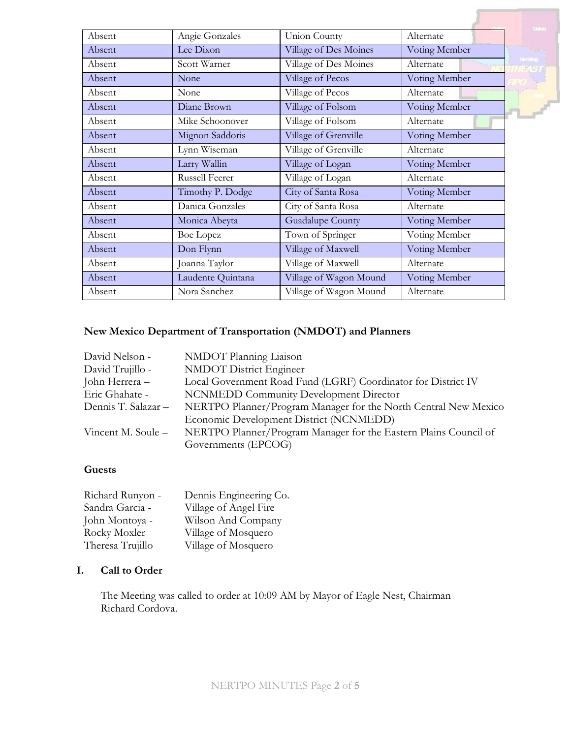|        |                       |                        |               | <b>United</b>  |
|--------|-----------------------|------------------------|---------------|----------------|
| Absent | Angie Gonzales        | <b>Union County</b>    | Alternate     |                |
| Absent | Lee Dixon             | Village of Des Moines  | Voting Member |                |
| Absent | Scott Warner          | Village of Des Moines  | Alternate     | <b>Handbug</b> |
| Absent | None                  | Village of Pecos       | Voting Member |                |
| Absent | None                  | Village of Pecos       | Alternate     |                |
| Absent | Diane Brown           | Village of Folsom      | Voting Member |                |
| Absent | Mike Schoonover       | Village of Folsom      | Alternate     |                |
| Absent | Mignon Saddoris       | Village of Grenville   | Voting Member |                |
| Absent | Lynn Wiseman          | Village of Grenville   | Alternate     |                |
| Absent | Larry Wallin          | Village of Logan       | Voting Member |                |
| Absent | <b>Russell Feerer</b> | Village of Logan       | Alternate     |                |
| Absent | Timothy P. Dodge      | City of Santa Rosa     | Voting Member |                |
| Absent | Danica Gonzales       | City of Santa Rosa     | Alternate     |                |
| Absent | Monica Abeyta         | Guadalupe County       | Voting Member |                |
| Absent | <b>Boe Lopez</b>      | Town of Springer       | Voting Member |                |
| Absent | Don Flynn             | Village of Maxwell     | Voting Member |                |
| Absent | Joanna Taylor         | Village of Maxwell     | Alternate     |                |
| Absent | Laudente Quintana     | Village of Wagon Mound | Voting Member |                |
| Absent | Nora Sanchez          | Village of Wagon Mound | Alternate     |                |

# **New Mexico Department of Transportation (NMDOT) and Planners**

| David Nelson -      | NMDOT Planning Liaison                                           |
|---------------------|------------------------------------------------------------------|
| David Trujillo -    | NMDOT District Engineer                                          |
| John Herrera –      | Local Government Road Fund (LGRF) Coordinator for District IV    |
| Eric Ghahate -      | <b>NCNMEDD Community Development Director</b>                    |
| Dennis T. Salazar – | NERTPO Planner/Program Manager for the North Central New Mexico  |
|                     | Economic Development District (NCNMEDD)                          |
| Vincent M. Soule –  | NERTPO Planner/Program Manager for the Eastern Plains Council of |
|                     | Governments (EPCOG)                                              |

### **Guests**

| Richard Runyon - | Dennis Engineering Co. |
|------------------|------------------------|
| Sandra Garcia -  | Village of Angel Fire  |
| John Montoya -   | Wilson And Company     |
| Rocky Moxler     | Village of Mosquero    |
| Theresa Trujillo | Village of Mosquero    |

# **I. Call to Order**

The Meeting was called to order at 10:09 AM by Mayor of Eagle Nest, Chairman Richard Cordova.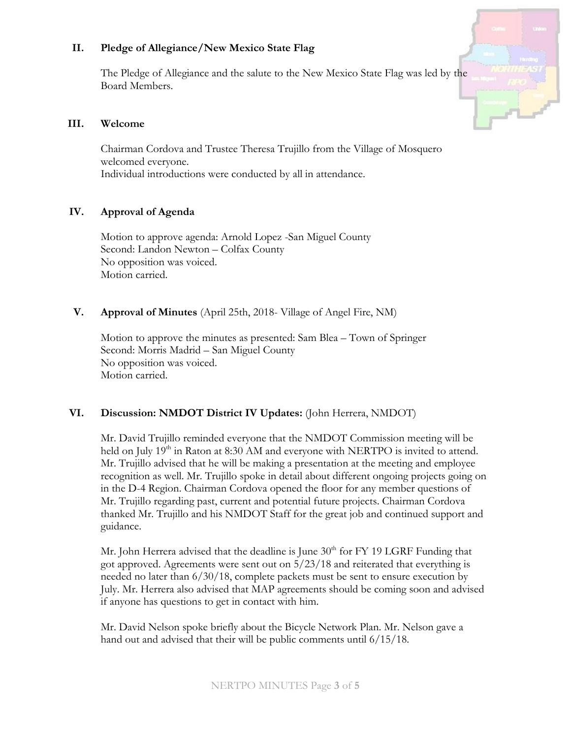### **II. Pledge of Allegiance/New Mexico State Flag**

The Pledge of Allegiance and the salute to the New Mexico State Flag was led by the Board Members.

#### **III. Welcome**

Chairman Cordova and Trustee Theresa Trujillo from the Village of Mosquero welcomed everyone. Individual introductions were conducted by all in attendance.

## **IV. Approval of Agenda**

Motion to approve agenda: Arnold Lopez -San Miguel County Second: Landon Newton – Colfax County No opposition was voiced. Motion carried.

## **V. Approval of Minutes** (April 25th, 2018- Village of Angel Fire, NM)

Motion to approve the minutes as presented: Sam Blea – Town of Springer Second: Morris Madrid – San Miguel County No opposition was voiced. Motion carried.

### **VI. Discussion: NMDOT District IV Updates:** (John Herrera, NMDOT)

Mr. David Trujillo reminded everyone that the NMDOT Commission meeting will be held on July  $19<sup>th</sup>$  in Raton at 8:30 AM and everyone with NERTPO is invited to attend. Mr. Trujillo advised that he will be making a presentation at the meeting and employee recognition as well. Mr. Trujillo spoke in detail about different ongoing projects going on in the D-4 Region. Chairman Cordova opened the floor for any member questions of Mr. Trujillo regarding past, current and potential future projects. Chairman Cordova thanked Mr. Trujillo and his NMDOT Staff for the great job and continued support and guidance.

Mr. John Herrera advised that the deadline is June  $30<sup>th</sup>$  for FY 19 LGRF Funding that got approved. Agreements were sent out on 5/23/18 and reiterated that everything is needed no later than 6/30/18, complete packets must be sent to ensure execution by July. Mr. Herrera also advised that MAP agreements should be coming soon and advised if anyone has questions to get in contact with him.

Mr. David Nelson spoke briefly about the Bicycle Network Plan. Mr. Nelson gave a hand out and advised that their will be public comments until 6/15/18.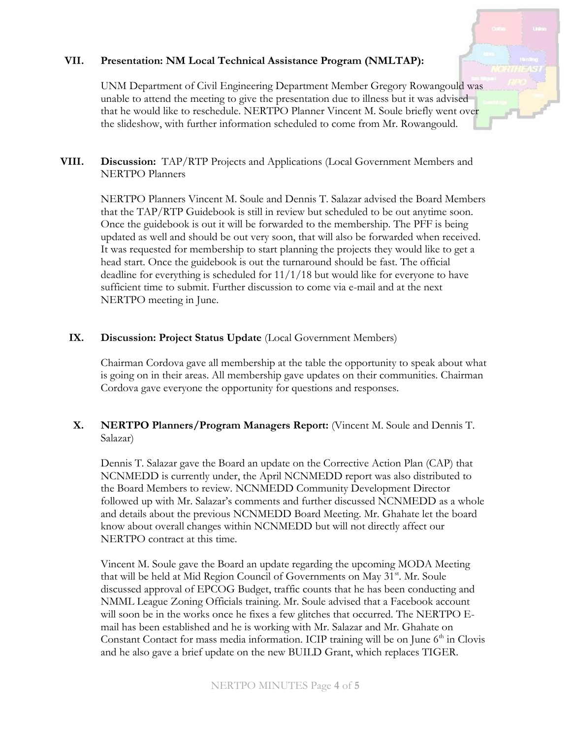## **VII. Presentation: NM Local Technical Assistance Program (NMLTAP):**

UNM Department of Civil Engineering Department Member Gregory Rowangould was unable to attend the meeting to give the presentation due to illness but it was advised that he would like to reschedule. NERTPO Planner Vincent M. Soule briefly went over the slideshow, with further information scheduled to come from Mr. Rowangould.

## **VIII. Discussion:** TAP/RTP Projects and Applications (Local Government Members and NERTPO Planners

NERTPO Planners Vincent M. Soule and Dennis T. Salazar advised the Board Members that the TAP/RTP Guidebook is still in review but scheduled to be out anytime soon. Once the guidebook is out it will be forwarded to the membership. The PFF is being updated as well and should be out very soon, that will also be forwarded when received. It was requested for membership to start planning the projects they would like to get a head start. Once the guidebook is out the turnaround should be fast. The official deadline for everything is scheduled for  $11/1/18$  but would like for everyone to have sufficient time to submit. Further discussion to come via e-mail and at the next NERTPO meeting in June.

## **IX. Discussion: Project Status Update** (Local Government Members)

Chairman Cordova gave all membership at the table the opportunity to speak about what is going on in their areas. All membership gave updates on their communities. Chairman Cordova gave everyone the opportunity for questions and responses.

# **X. NERTPO Planners/Program Managers Report:** (Vincent M. Soule and Dennis T. Salazar)

Dennis T. Salazar gave the Board an update on the Corrective Action Plan (CAP) that NCNMEDD is currently under, the April NCNMEDD report was also distributed to the Board Members to review. NCNMEDD Community Development Director followed up with Mr. Salazar's comments and further discussed NCNMEDD as a whole and details about the previous NCNMEDD Board Meeting. Mr. Ghahate let the board know about overall changes within NCNMEDD but will not directly affect our NERTPO contract at this time.

Vincent M. Soule gave the Board an update regarding the upcoming MODA Meeting that will be held at Mid Region Council of Governments on May  $31<sup>st</sup>$ . Mr. Soule discussed approval of EPCOG Budget, traffic counts that he has been conducting and NMML League Zoning Officials training. Mr. Soule advised that a Facebook account will soon be in the works once he fixes a few glitches that occurred. The NERTPO Email has been established and he is working with Mr. Salazar and Mr. Ghahate on Constant Contact for mass media information. ICIP training will be on June  $6<sup>th</sup>$  in Clovis and he also gave a brief update on the new BUILD Grant, which replaces TIGER.